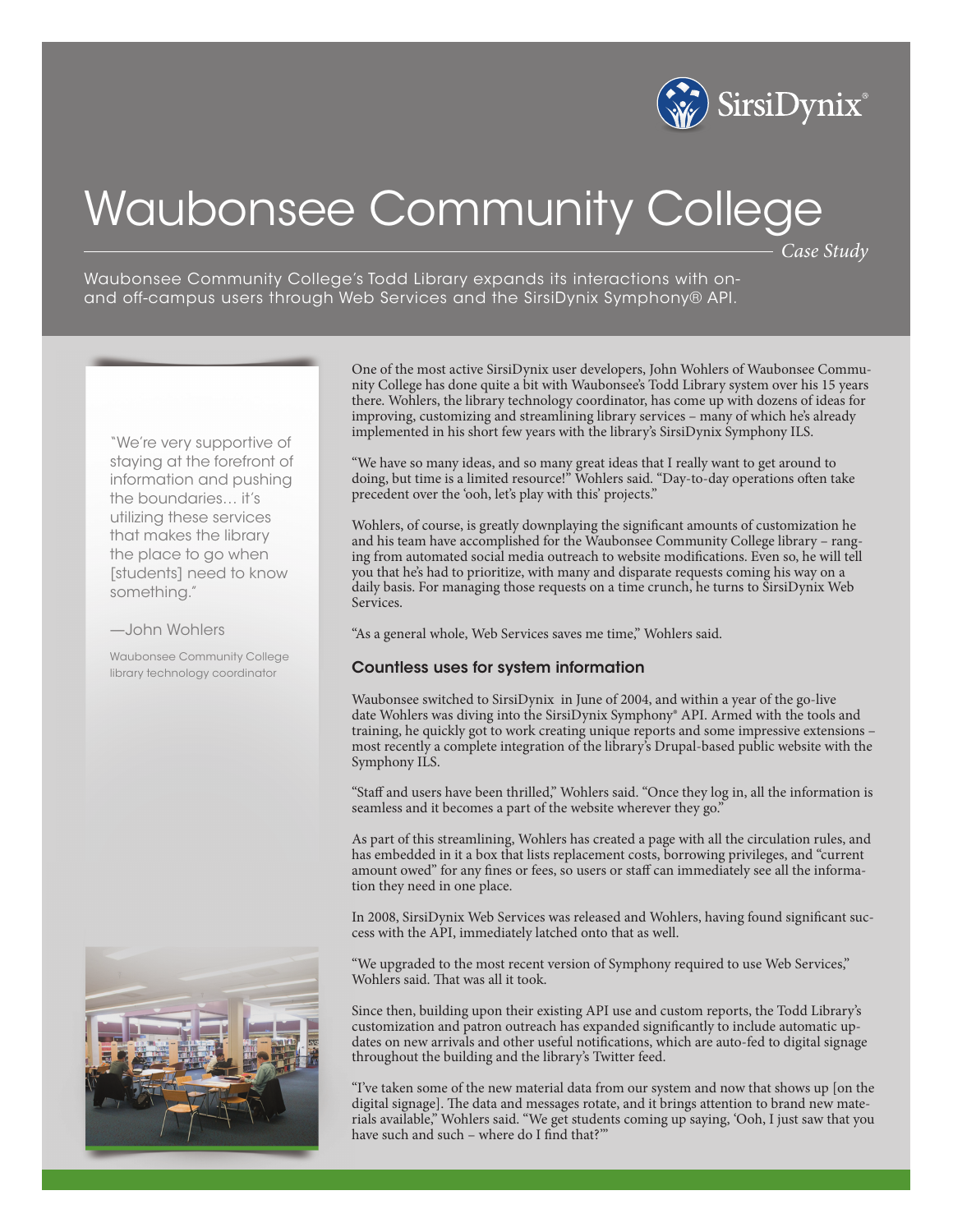

# Waubonsee Community College

*Case Study*

Waubonsee Community College's Todd Library expands its interactions with onand off-campus users through Web Services and the SirsiDynix Symphony® API.

"We're very supportive of staying at the forefront of information and pushing the boundaries… it's utilizing these services that makes the library the place to go when [students] need to know something."

#### —John Wohlers

Waubonsee Community College library technology coordinator



One of the most active SirsiDynix user developers, John Wohlers of Waubonsee Community College has done quite a bit with Waubonsee's Todd Library system over his 15 years there. Wohlers, the library technology coordinator, has come up with dozens of ideas for improving, customizing and streamlining library services – many of which he's already implemented in his short few years with the library's SirsiDynix Symphony ILS.

"We have so many ideas, and so many great ideas that I really want to get around to doing, but time is a limited resource!" Wohlers said. "Day-to-day operations often take precedent over the 'ooh, let's play with this' projects."

Wohlers, of course, is greatly downplaying the significant amounts of customization he and his team have accomplished for the Waubonsee Community College library – ranging from automated social media outreach to website modifications. Even so, he will tell you that he's had to prioritize, with many and disparate requests coming his way on a daily basis. For managing those requests on a time crunch, he turns to SirsiDynix Web Services.

"As a general whole, Web Services saves me time," Wohlers said.

### Countless uses for system information

Waubonsee switched to SirsiDynix in June of 2004, and within a year of the go-live date Wohlers was diving into the SirsiDynix Symphony® API. Armed with the tools and training, he quickly got to work creating unique reports and some impressive extensions – most recently a complete integration of the library's Drupal-based public website with the Symphony ILS.

"Staff and users have been thrilled," Wohlers said. "Once they log in, all the information is seamless and it becomes a part of the website wherever they go."

As part of this streamlining, Wohlers has created a page with all the circulation rules, and has embedded in it a box that lists replacement costs, borrowing privileges, and "current amount owed" for any fines or fees, so users or staff can immediately see all the information they need in one place.

In 2008, SirsiDynix Web Services was released and Wohlers, having found significant success with the API, immediately latched onto that as well.

"We upgraded to the most recent version of Symphony required to use Web Services," Wohlers said. That was all it took.

Since then, building upon their existing API use and custom reports, the Todd Library's customization and patron outreach has expanded significantly to include automatic updates on new arrivals and other useful notifications, which are auto-fed to digital signage throughout the building and the library's Twitter feed.

"I've taken some of the new material data from our system and now that shows up [on the digital signage]. The data and messages rotate, and it brings attention to brand new materials available," Wohlers said. "We get students coming up saying, 'Ooh, I just saw that you have such and such – where do I find that?"